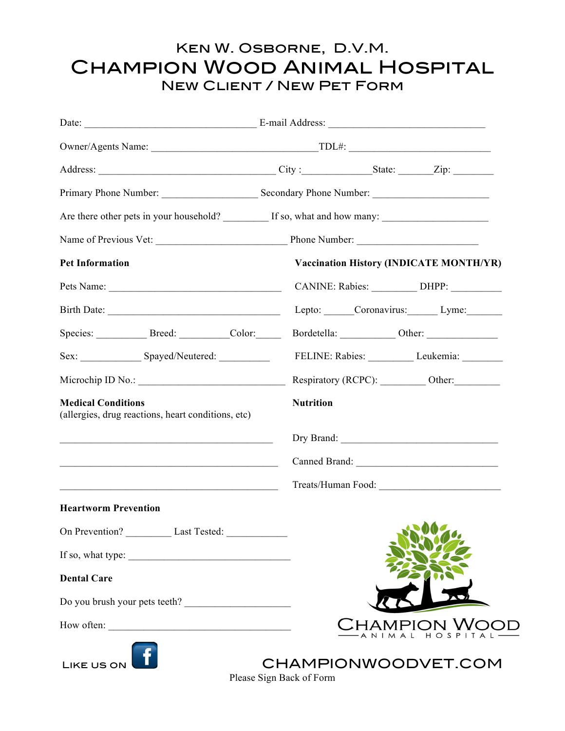## Ken W. Osborne, D.V.M. Champion Wood Animal Hospital New Client / New Pet Form

|                                                                                                                         | Are there other pets in your household? If so, what and how many: |
|-------------------------------------------------------------------------------------------------------------------------|-------------------------------------------------------------------|
|                                                                                                                         |                                                                   |
| <b>Pet Information</b>                                                                                                  | <b>Vaccination History (INDICATE MONTH/YR)</b>                    |
|                                                                                                                         | CANINE: Rabies: __________ DHPP: _________                        |
| Birth Date:                                                                                                             | Lepto: Coronavirus: Lyme:                                         |
| Species: Breed: Color:                                                                                                  |                                                                   |
|                                                                                                                         | FELINE: Rabies: Leukemia: Leukemia:                               |
|                                                                                                                         | Respiratory (RCPC): ___________ Other: _________                  |
| <b>Medical Conditions</b><br>(allergies, drug reactions, heart conditions, etc)                                         | <b>Nutrition</b>                                                  |
| <u> 1989 - Johann John Stein, markin fan it fjort fan it fjort fan it fjort fan it fjort fan it fjort fan it fjort </u> |                                                                   |
|                                                                                                                         |                                                                   |
| <u> 2000 - Andrea Andrew Maria (h. 1982).</u>                                                                           |                                                                   |
| <b>Heartworm Prevention</b>                                                                                             |                                                                   |
| On Prevention? Last Tested:                                                                                             | <b>SALES</b>                                                      |
| If so, what type:                                                                                                       |                                                                   |
| <b>Dental Care</b>                                                                                                      |                                                                   |
| Do you brush your pets teeth?                                                                                           |                                                                   |
|                                                                                                                         | <b>THAMPION WO</b>                                                |
| <b>LIKE US ON</b>                                                                                                       | CHAMPIONWOODVET.COM                                               |

Please Sign Back of Form